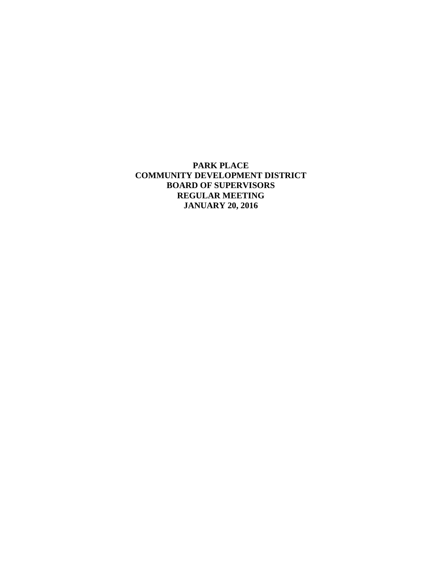**PARK PLACE COMMUNITY DEVELOPMENT DISTRICT BOARD OF SUPERVISORS REGULAR MEETING JANUARY 20, 2016**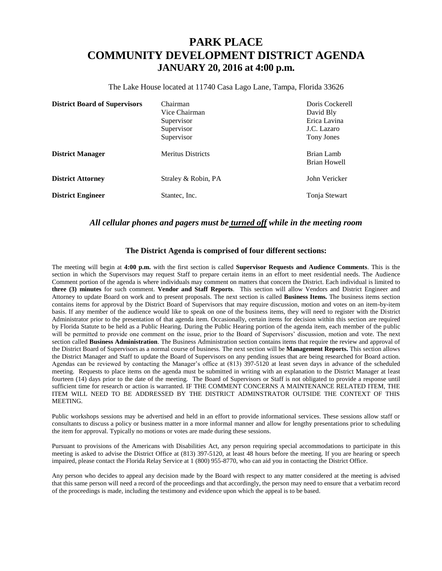# **PARK PLACE COMMUNITY DEVELOPMENT DISTRICT AGENDA JANUARY 20, 2016 at 4:00 p.m.**

The Lake House located at 11740 Casa Lago Lane, Tampa, Florida 33626

| <b>District Board of Supervisors</b> | Chairman<br>Vice Chairman<br>Supervisor<br>Supervisor | Doris Cockerell<br>David Bly<br>Erica Lavina<br>J.C. Lazaro |
|--------------------------------------|-------------------------------------------------------|-------------------------------------------------------------|
| <b>District Manager</b>              | Supervisor<br><b>Meritus Districts</b>                | Tony Jones<br>Brian Lamb<br>Brian Howell                    |
| <b>District Attorney</b>             | Straley & Robin, PA                                   | John Vericker                                               |
| <b>District Engineer</b>             | Stantec, Inc.                                         | Tonja Stewart                                               |

#### *All cellular phones and pagers must be turned off while in the meeting room*

#### **The District Agenda is comprised of four different sections:**

The meeting will begin at **4:00 p.m.** with the first section is called **Supervisor Requests and Audience Comments**. This is the section in which the Supervisors may request Staff to prepare certain items in an effort to meet residential needs. The Audience Comment portion of the agenda is where individuals may comment on matters that concern the District. Each individual is limited to **three (3) minutes** for such comment. **Vendor and Staff Reports**. This section will allow Vendors and District Engineer and Attorney to update Board on work and to present proposals. The next section is called **Business Items.** The business items section contains items for approval by the District Board of Supervisors that may require discussion, motion and votes on an item-by-item basis. If any member of the audience would like to speak on one of the business items, they will need to register with the District Administrator prior to the presentation of that agenda item. Occasionally, certain items for decision within this section are required by Florida Statute to be held as a Public Hearing. During the Public Hearing portion of the agenda item, each member of the public will be permitted to provide one comment on the issue, prior to the Board of Supervisors' discussion, motion and vote. The next section called **Business Administration**. The Business Administration section contains items that require the review and approval of the District Board of Supervisors as a normal course of business. The next section will be **Management Reports.** This section allows the District Manager and Staff to update the Board of Supervisors on any pending issues that are being researched for Board action. Agendas can be reviewed by contacting the Manager's office at (813) 397-5120 at least seven days in advance of the scheduled meeting. Requests to place items on the agenda must be submitted in writing with an explanation to the District Manager at least fourteen (14) days prior to the date of the meeting. The Board of Supervisors or Staff is not obligated to provide a response until sufficient time for research or action is warranted. IF THE COMMENT CONCERNS A MAINTENANCE RELATED ITEM, THE ITEM WILL NEED TO BE ADDRESSED BY THE DISTRICT ADMINSTRATOR OUTSIDE THE CONTEXT OF THIS MEETING.

Public workshops sessions may be advertised and held in an effort to provide informational services. These sessions allow staff or consultants to discuss a policy or business matter in a more informal manner and allow for lengthy presentations prior to scheduling the item for approval. Typically no motions or votes are made during these sessions.

Pursuant to provisions of the Americans with Disabilities Act, any person requiring special accommodations to participate in this meeting is asked to advise the District Office at (813) 397-5120, at least 48 hours before the meeting. If you are hearing or speech impaired, please contact the Florida Relay Service at 1 (800) 955-8770, who can aid you in contacting the District Office.

Any person who decides to appeal any decision made by the Board with respect to any matter considered at the meeting is advised that this same person will need a record of the proceedings and that accordingly, the person may need to ensure that a verbatim record of the proceedings is made, including the testimony and evidence upon which the appeal is to be based.